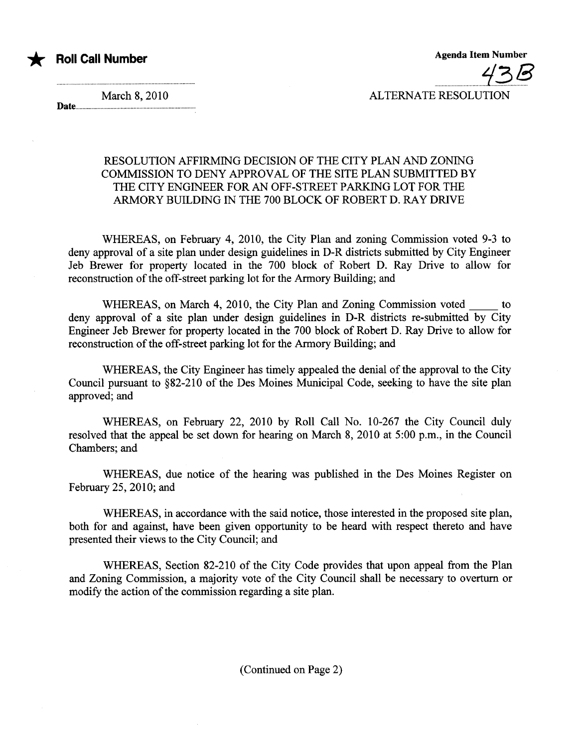

Agenda Item Number ...............................1~./¥ ALTERNATE RESOLUTION

March 8, 2010 Date........

## RESOLUTION AFFIRMING DECISION OF THE CITY PLAN AND ZONING COMMISSION TO DENY APPROVAL OF THE SITE PLAN SUBMITTED BY THE CITY ENGINEER FOR AN OFF-STREET PARKING LOT FOR THE ARMORY BUILDING IN THE 700 BLOCK OF ROBERT D. RAY DRIVE

WHEREAS, on February 4, 2010, the City Plan and zoning Commission voted 9-3 to deny approval of a site plan under design guidelines in D-R districts submitted by City Engineer Jeb Brewer for property located in the 700 block of Robert D. Ray Drive to allow for reconstruction of the off-street parking lot for the Armory Building; and

WHEREAS, on March 4, 2010, the City Plan and Zoning Commission voted to deny approval of a site plan under design guidelines in D-R districts re-submitted by City Engineer Jeb Brewer for property located in the 700 block of Robert D. Ray Drive to allow for reconstruction of the off-street parking lot for the Armory Building; and

WHEREAS, the City Engineer has timely appealed the denial of the approval to the City Council pursuant to §82-21O of the Des Moines Municipal Code, seeking to have the site plan approved; and

WHEREAS, on February 22, 2010 by Roll Call No. 10-267 the City Council duly resolved that the appeal be set down for hearng on March 8, 2010 at 5:00 p.m., in the Council Chambers; and

WHEREAS, due notice of the hearing was published in the Des Moines Register on February 25, 2010; and

WHEREAS, in accordance with the said notice, those interested in the proposed site plan, both for and against, have been given opportunity to be heard with respect thereto and have presented their views to the City Council; and

WHEREAS, Section 82-210 of the City Code provides that upon appeal from the Plan and Zoning Commission, a majority vote of the City Council shall be necessary to overturn or modify the action of the commission regarding a site plan.

(Continued on Page 2)